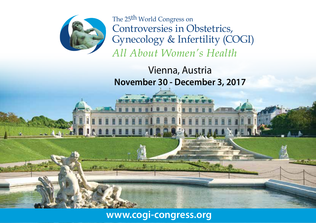

The 25<sup>th</sup> World Congress on Controversies in Obstetrics, Gynecology & Infertility (COGI) All About Women's Health

Vienna, Austria **November 30 - December 3, 2017** 

# www.cogi-congress.org